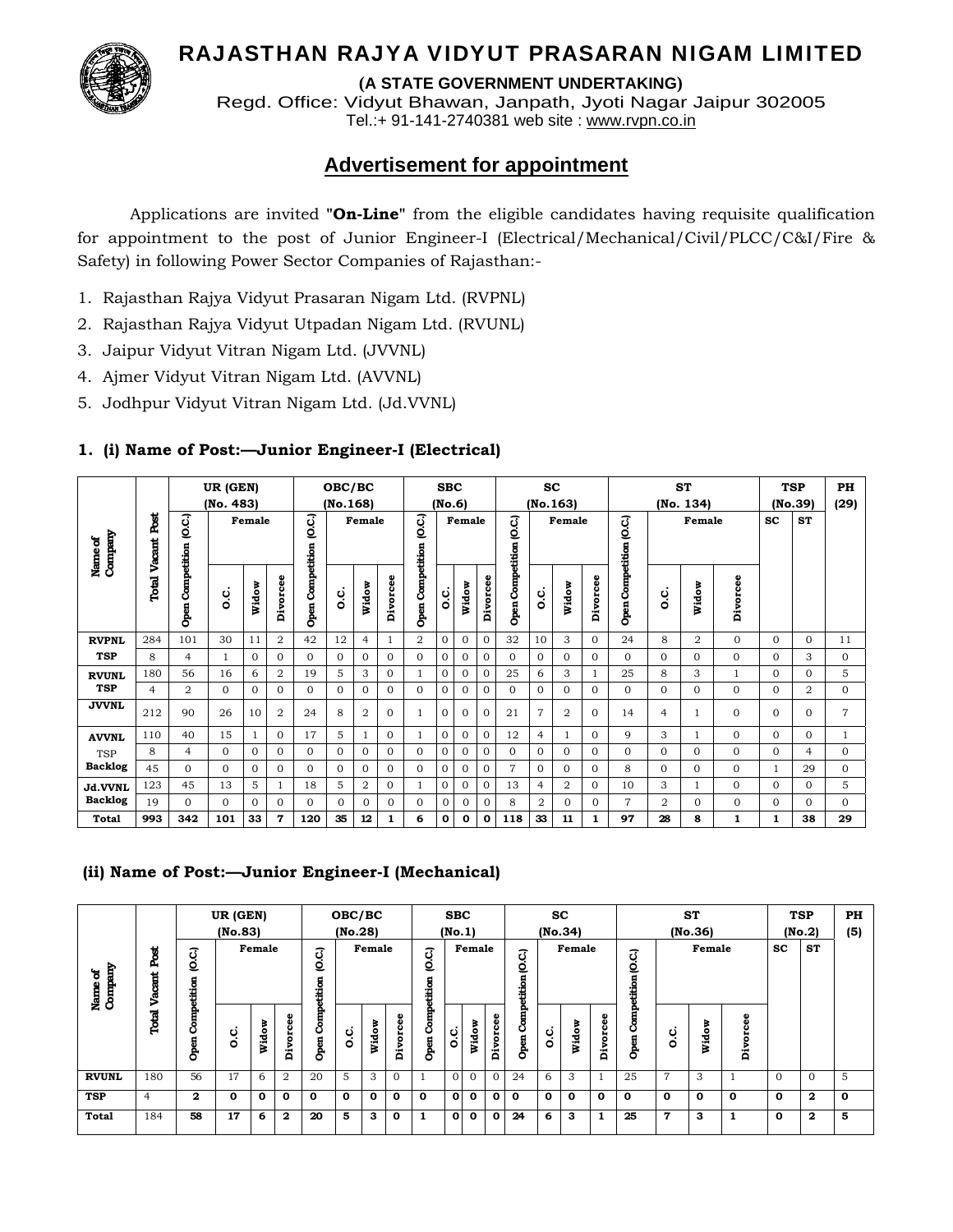# RAJASTHAN RAJYA VIDYUT PRASARAN NIGAM LIMITED



**(A STATE GOVERNMENT UNDERTAKING)**

Regd. Office: Vidyut Bhawan, Janpath, Jyoti Nagar Jaipur 302005 Tel.:+ 91-141-2740381 web site : www.rvpn.co.in

# **Advertisement for appointment**

 Applications are invited **"On-Line"** from the eligible candidates having requisite qualification for appointment to the post of Junior Engineer-I (Electrical/Mechanical/Civil/PLCC/C&I/Fire & Safety) in following Power Sector Companies of Rajasthan:-

- 1. Rajasthan Rajya Vidyut Prasaran Nigam Ltd. (RVPNL)
- 2. Rajasthan Rajya Vidyut Utpadan Nigam Ltd. (RVUNL)
- 3. Jaipur Vidyut Vitran Nigam Ltd. (JVVNL)
- 4. Ajmer Vidyut Vitran Nigam Ltd. (AVVNL)
- 5. Jodhpur Vidyut Vitran Nigam Ltd. (Jd.VVNL)

### **1. (i) Name of Post:—Junior Engineer-I (Electrical)**

|                    |                |                     | UR (GEN)<br>(No. 483) |          |                |                         | OBC/BC   |                |              |                         | <b>SBC</b>     |              |              |                     | <b>SC</b>      |                |          |                         |                | <b>ST</b>      |              |                     | <b>TSP</b>     | PH             |
|--------------------|----------------|---------------------|-----------------------|----------|----------------|-------------------------|----------|----------------|--------------|-------------------------|----------------|--------------|--------------|---------------------|----------------|----------------|----------|-------------------------|----------------|----------------|--------------|---------------------|----------------|----------------|
|                    |                |                     |                       |          |                |                         | (No.168) |                |              |                         | (No.6)         |              |              |                     |                | (No.163)       |          |                         |                | (No. 134)      |              |                     | (No.39)        | (29)           |
| Company<br>Name of | ě<br>Vacant    | ίņο                 |                       | Female   |                | O.C.)                   |          | Female         |              | G.C.)                   |                | Female       |              | ą                   |                | Female         |          |                         |                | Female         |              | $\operatorname{sc}$ | <b>ST</b>      |                |
|                    | Total          | Competition<br>Open | ن<br>٥                | Widow    | Divorcee       | <b>Open Competition</b> | c.c      | Widow          | Divorcee     | <b>Open Competition</b> | c.c            | Widow        | Divorcee     | Open Competition (O | c.c            | Widow          | Divorcee | Open Competition (O.C.) | ن<br>o         | Widow          | Divorcee     |                     |                |                |
| <b>RVPNL</b>       | 284            | 101                 | 30                    | 11       | $\overline{2}$ | 42                      | 12       | $\overline{4}$ |              | $\overline{2}$          | $\mathbf{0}$   | $\Omega$     | $\Omega$     | 32                  | 10             | 3              | $\Omega$ | 24                      | 8              | $\overline{2}$ | $\Omega$     | $\Omega$            | $\Omega$       | 11             |
| <b>TSP</b>         | 8              | $\overline{4}$      | 1                     | $\Omega$ | $\Omega$       | $\Omega$                | $\Omega$ | $\mathbf{0}$   | $\Omega$     | $\Omega$                | $\mathbf{0}$   | $\mathbf{0}$ | $\mathbf{0}$ | $\Omega$            | 0              | $\Omega$       | $\Omega$ | $\Omega$                | $\Omega$       | $\Omega$       | 0            | $\mathbf{0}$        | 3              | $\Omega$       |
| <b>RVUNL</b>       | 180            | 56                  | 16                    | 6        | $\overline{2}$ | 19                      | 5        | 3              | $\Omega$     | 1                       | $\overline{0}$ | $\mathbf{0}$ | $\mathbf{0}$ | 25                  | 6              | 3              |          | 25                      | 8              | 3              | 1            | $\Omega$            | $\Omega$       | 5              |
| <b>TSP</b>         | $\overline{4}$ | $\overline{2}$      | $\Omega$              | $\Omega$ | $\mathbf{0}$   | $\Omega$                | $\Omega$ | $\mathbf{0}$   | $\mathbf{0}$ | $\Omega$                | $\mathbf{0}$   | $\mathbf{0}$ | $\mathbf{0}$ | $\Omega$            | $\mathbf{0}$   | $\Omega$       | $\Omega$ | $\Omega$                | $\Omega$       | $\Omega$       | $\Omega$     | $\mathbf{O}$        | $\overline{2}$ | $\mathbf{0}$   |
| <b>JVVNL</b>       | 212            | 90                  | 26                    | 10       | $\overline{2}$ | 24                      | 8        | $\overline{2}$ | $\Omega$     | $\mathbf{1}$            | $\Omega$       | $\Omega$     | $\Omega$     | 21                  | $\overline{7}$ | $\overline{2}$ | $\Omega$ | 14                      | $\overline{4}$ |                | $\Omega$     | $\Omega$            | $\Omega$       | $\overline{7}$ |
| <b>AVVNL</b>       | 110            | 40                  | 15                    |          | $\Omega$       | 17                      | 5        | $\mathbf{1}$   | $\Omega$     | $\mathbf{1}$            | $\Omega$       | $\Omega$     | $\Omega$     | 12                  | $\overline{4}$ | 1              | $\Omega$ | 9                       | 3              | $\mathbf{1}$   | $\Omega$     | $\Omega$            | $\Omega$       | $\mathbf{1}$   |
| <b>TSP</b>         | 8              | $\overline{4}$      | 0                     | $\Omega$ | $\Omega$       | $\Omega$                | $\Omega$ | $\mathbf{0}$   | $\Omega$     | $\Omega$                | $\mathbf{0}$   | $\mathbf{0}$ | $\mathbf{O}$ | $\Omega$            | $\Omega$       | $\Omega$       | $\Omega$ | $\Omega$                | $\Omega$       | $\Omega$       | $\Omega$     | $\Omega$            | 4              | $\Omega$       |
| <b>Backlog</b>     | 45             | $\Omega$            | 0                     | 0        | $\overline{0}$ | $\Omega$                | $\Omega$ | $\mathbf{0}$   | $\Omega$     | $\Omega$                | $\Omega$       | $\Omega$     | $\Omega$     | $\overline{7}$      | $\Omega$       | $\Omega$       | $\Omega$ | 8                       | $\Omega$       | $\mathbf{0}$   | $\mathbf{0}$ | $\mathbf{1}$        | 29             | $\mathbf{0}$   |
| Jd.VVNL            | 123            | 45                  | 13                    | 5        | 1              | 18                      | 5        | $\overline{2}$ | $\mathbf{0}$ | 1                       | $\mathbf{0}$   | $\mathbf{0}$ | $\mathbf{0}$ | 13                  | 4              | $\overline{2}$ | $\Omega$ | 10                      | 3              | 1              | $\Omega$     | $\mathbf{O}$        | $\Omega$       | 5              |
| <b>Backlog</b>     | 19             | $\Omega$            | $\Omega$              | $\Omega$ | $\Omega$       | $\Omega$                | $\Omega$ | $\Omega$       | $\Omega$     | $\Omega$                | $\Omega$       | $\Omega$     | $\Omega$     | 8                   | 2              | $\Omega$       | $\Omega$ | 7                       | $\overline{2}$ | $\Omega$       | $\Omega$     | $\Omega$            | $\Omega$       | $\Omega$       |
| Total              | 993            | 342                 | 101                   | 33       | 7              | 120                     | 35       | 12             | 1            | 6                       | 0              | $\mathbf{o}$ | Ο            | 118                 | 33             | 11             | 1        | 97                      | 28             | 8              | $\mathbf{1}$ | 1                   | 38             | 29             |

### **(ii) Name of Post:—Junior Engineer-I (Mechanical)**

| Name of<br>Company | Ы<br>C.C.<br>ፈ<br>뉨<br>etition<br>Vacar |              | UR (GEN)<br>(No.83) | Female |                | σ<br>₫<br>etition | OBC/BC<br>(No.28) | Female       |                  | C.C.)<br>etition | <b>SBC</b><br>(No.1) | Female       |              | ਹ<br>$\mathbf{Q}$<br>etitio |              | SC.<br>(No.34)<br>Female |              | (O.C.)<br>etition |              | <b>ST</b><br>(No.36)<br>Female |                       | <b>SC</b>    | <b>TSP</b><br>(No.2)<br><b>ST</b> | <b>PH</b><br>(5) |
|--------------------|-----------------------------------------|--------------|---------------------|--------|----------------|-------------------|-------------------|--------------|------------------|------------------|----------------------|--------------|--------------|-----------------------------|--------------|--------------------------|--------------|-------------------|--------------|--------------------------------|-----------------------|--------------|-----------------------------------|------------------|
|                    | Total                                   | Ě<br>Open    | ပ္ပံ                | Widow  | Divorcee       | Comp<br>Open      | c.c               | Widow        | ω<br>orce<br>Div | Open Comp        | c.c                  | Widow        | Φ<br>Divorce | Comp<br>Open                | c.c          | Widow                    | ω<br>Divorce | Comp<br>Open      | ပ္ပံ         | Widow                          | ω<br>ه<br>٥<br>۰<br>à |              |                                   |                  |
| <b>RVUNL</b>       | 180                                     | 56           | 17                  | 6      | $\overline{2}$ | 20                | 5                 | 3            | $\Omega$         |                  | $\Omega$             | $\mathbf{0}$ | $\Omega$     | 24                          | 6            | 3                        |              | 25                | 7            | 3                              |                       | $\Omega$     | $\Omega$                          | 5                |
| <b>TSP</b>         | $\overline{4}$                          | $\mathbf{2}$ | $\mathbf 0$         | 0      | 0              | $\mathbf o$       | $\mathbf{o}$      | $\mathbf{o}$ | $\mathbf o$      | $\mathbf o$      | $\mathbf{0}$         | 0            | $\Omega$     | 0                           | $\mathbf{o}$ | 0                        | $\mathbf{o}$ | 0                 | $\mathbf{o}$ | 0                              | $\mathbf{o}$          | $\mathbf 0$  | $\mathbf{2}$                      | $\mathbf 0$      |
| Total              | 184                                     | 58           | 17                  | 6      | $\mathbf{2}$   | 20                | 5                 | 3            | $\mathbf 0$      | -1               | $\mathbf{o}$         | $\mathbf o$  | $\Omega$     | 24                          | 6            | 3                        | 1            | 25                | 7            | 3                              | 1                     | $\mathbf{o}$ | $\mathbf{2}$                      | 5                |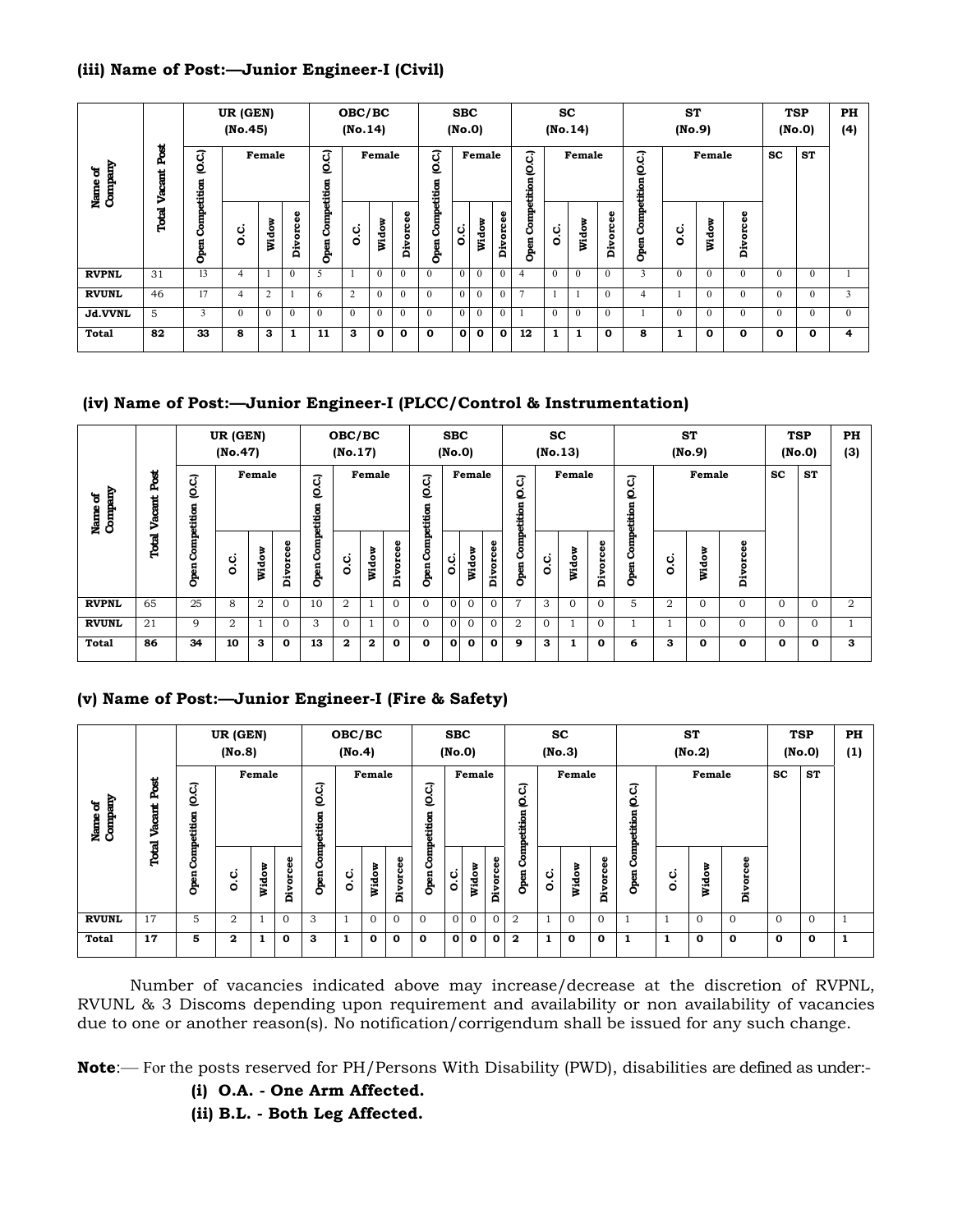## **(iii) Name of Post:—Junior Engineer-I (Civil)**

|                    |             |                     | UR (GEN)<br>(No.45) |              |          |                     | OBC/BC<br>(No.14) |             |             |                     | <b>SBC</b><br>(No.0) |                |              |                  |          | <b>SC</b><br>(No.14) |              |                               | <b>ST</b><br>(No.9) |              |                       |               | <b>TSP</b><br>(No.0) | PH<br>(4) |
|--------------------|-------------|---------------------|---------------------|--------------|----------|---------------------|-------------------|-------------|-------------|---------------------|----------------------|----------------|--------------|------------------|----------|----------------------|--------------|-------------------------------|---------------------|--------------|-----------------------|---------------|----------------------|-----------|
| Name of<br>Company | ě<br>Vacant | C.C.)               |                     | Female       |          | Q.C.)               |                   | Female      |             | O.C.)               |                      | Female         |              | J<br>ℭ<br>etitio |          | Female               |              | $\overline{c}$<br>ē<br>etitio |                     | Female       |                       | $\mathbf{sc}$ | <b>ST</b>            |           |
|                    | Total       | Competition<br>Open | ة                   | Widow        | Divorcee | Competition<br>Open | c.<br>O           | Widow       | 8<br>Divorc | Competition<br>Open | c.c                  | Widow          | Divorcee     | Comp<br>Open     | c.<br>o  | Widow                | Divorcee     | È<br>රී<br>Open               | ပ္ပံ                | Widow        | ω<br>ه<br>ō<br>Divoro |               |                      |           |
| <b>RVPNL</b>       | 31          | 13                  | 4                   |              | $\Omega$ | 5                   |                   | $\Omega$    | $\theta$    | $\theta$            | $\theta$             | $\theta$       | $\theta$     | 4                | $\theta$ | $\theta$             | $\Omega$     | 3                             | $\Omega$            | $\theta$     | $\Omega$              | $\theta$      | $\theta$             |           |
| <b>RVUNL</b>       | 46          | 17                  | 4                   | 2            |          | 6                   | 2                 | $\Omega$    | $\Omega$    | $\theta$            | $\overline{0}$       | $\theta$       | $\theta$     | ⇁                |          |                      | $\mathbf{0}$ | 4                             |                     | $\theta$     | $\Omega$              | $\theta$      | $\theta$             | 3         |
| Jd.VVNL            | 5           |                     | $\Omega$            | $\mathbf{0}$ | $\Omega$ | $\theta$            | $\Omega$          | $\theta$    | $\Omega$    | $\theta$            | $\theta$             | $\overline{0}$ | $\Omega$     |                  | $\theta$ | $\theta$             | $\mathbf{0}$ |                               | $\mathbf{0}$        | $\theta$     | 0                     | $\mathbf{0}$  | $\Omega$             |           |
| Total              | 82          | 33                  | 8                   | 3            | 1        | 11                  | 3                 | $\mathbf o$ | 0           | $\mathbf{o}$        | $\mathbf{o}$         | $\mathbf{o}$   | $\mathbf{o}$ | 12               | 1        | 1                    | 0            | 8                             |                     | $\mathbf{o}$ | 0                     | 0             | 0                    | 4         |

# **(iv) Name of Post:—Junior Engineer-I (PLCC/Control & Instrumentation)**

|                    |                |                     | UR (GEN)<br>(No.47) |                |              |                         | OBC/BC<br>(No.17) |        |              |                           | <b>SBC</b><br>(No.0) |              |              |                                | (No.13)  | SC       |          |                      |                | <b>ST</b><br>(No.9) |                |             | <b>TSP</b><br>(No.0) | <b>PH</b><br>(3) |
|--------------------|----------------|---------------------|---------------------|----------------|--------------|-------------------------|-------------------|--------|--------------|---------------------------|----------------------|--------------|--------------|--------------------------------|----------|----------|----------|----------------------|----------------|---------------------|----------------|-------------|----------------------|------------------|
| Name of<br>Company | Post<br>日<br>ട | O.C.)               |                     | Female         |              | Q.C.)                   |                   | Female |              | $\overline{c}$<br>etition |                      | Female       |              | $\overline{c}$<br>ۊ<br>etition |          | Female   |          | G.C.)<br>Competition |                | Female              |                | <b>SC</b>   | <b>ST</b>            |                  |
|                    | Total          | Competition<br>Open | ن<br>0              | Widow          | Divorcee     | <b>Open Competition</b> | c.                | Widow  | Divorcee     | Open Comp                 | c.<br>o              | Widow        | Φ<br>Divorce | Comp<br>Open                   | c.<br>O  | Widow    | Divorcee | Open                 | c.<br>O        | Widow               | ω<br>orce<br>á |             |                      |                  |
| <b>RVPNL</b>       | 65             | 25                  | 8                   | $\overline{2}$ | $\Omega$     | 10                      | $\overline{2}$    |        | $\Omega$     | $\Omega$                  | $\mathbf{0}$         | $\mathbf{0}$ | $\mathbf{O}$ | 7                              | 3        | $\Omega$ | $\Omega$ | 5                    | $\overline{2}$ | $\Omega$            | $\Omega$       | $\Omega$    | $\Omega$             | $\overline{2}$   |
| <b>RVUNL</b>       | 21             | 9                   | 2                   |                | $\Omega$     | 3                       | $\Omega$          |        | $\Omega$     | $\Omega$                  | $\mathbf{0}$         | $\mathbf{0}$ | $\Omega$     | $\overline{2}$                 | $\Omega$ |          | $\Omega$ |                      |                | 0                   | $\mathbf{0}$   | $\Omega$    | $\Omega$             |                  |
| Total              | 86             | 34                  | 10                  | 3              | $\mathbf{o}$ | 13                      | $\mathbf{2}$      | 2      | $\mathbf{o}$ | 0                         | $\mathbf 0$          | 0            | $\mathbf{o}$ | 9                              | 3        | 1        | 0        | 6                    | 3              | $\mathbf{o}$        | $\mathbf{o}$   | $\mathbf o$ | $\mathbf 0$          | 3                |

## **(v) Name of Post:—Junior Engineer-I (Fire & Safety)**

|                    |                  |                      | UR (GEN)<br>(No.8) |        |          |                    | OBC/BC<br>(No.4) |              |              |                         | <b>SBC</b><br>(No.0) |              |          |                    |     | <b>SC</b><br>(No.3) |              |                  |                | <b>ST</b><br>(No.2) |                  |                     | <b>TSP</b><br>(No.0) | PH<br>(1) |
|--------------------|------------------|----------------------|--------------------|--------|----------|--------------------|------------------|--------------|--------------|-------------------------|----------------------|--------------|----------|--------------------|-----|---------------------|--------------|------------------|----------------|---------------------|------------------|---------------------|----------------------|-----------|
| Name of<br>Company | B<br>ዲ<br>e<br>S | C.C.)<br>Competition |                    | Female |          | QC)<br>Competition |                  | Female       |              | (O.C.)                  |                      | Female       |          | Competition (O.C.) |     | Female              |              | apetition (O.C.) |                | Female              |                  | $\operatorname{sc}$ | <b>ST</b>            |           |
|                    | Total            | Open                 | c.c                | Widow  | Divorcee | Open               | c.<br>o          | Widow        | Divorcee     | <b>Open Competition</b> | c.                   | Widow        | Divorcee | Open               | c.c | Widow               | Divorcee     | ర్<br>Open       | c.<br>O        | в<br><b>Wido</b>    | ω<br>ō<br>č<br>à |                     |                      |           |
| <b>RVUNL</b>       | 17               | 5                    | $\overline{2}$     |        | $\Omega$ | 3                  |                  | $\Omega$     | $\Omega$     | $\mathbf{0}$            | $\Omega$             | $\Omega$     | $\Omega$ | $\overline{2}$     |     | $\mathbf{0}$        | $\Omega$     |                  | $\overline{1}$ | $\mathbf{0}$        | $\overline{0}$   | $\Omega$            | $\Omega$             |           |
| Total              | 17               | 5                    | 2                  |        | 0        | 3                  |                  | $\mathbf{o}$ | $\mathbf{o}$ | $\mathbf{o}$            | 0                    | $\mathbf{o}$ | 0        | $\mathbf{2}$       | 1   | $\mathbf 0$         | $\mathbf{o}$ |                  | 1              | $\mathbf 0$         | $\mathbf{o}$     | 0                   | 0                    |           |

 Number of vacancies indicated above may increase/decrease at the discretion of RVPNL, RVUNL & 3 Discoms depending upon requirement and availability or non availability of vacancies due to one or another reason(s). No notification/corrigendum shall be issued for any such change.

**Note**:— For the posts reserved for PH/Persons With Disability (PWD), disabilities are defined as under:-

 **(i) O.A. - One Arm Affected.**

 **(ii) B.L. - Both Leg Affected.**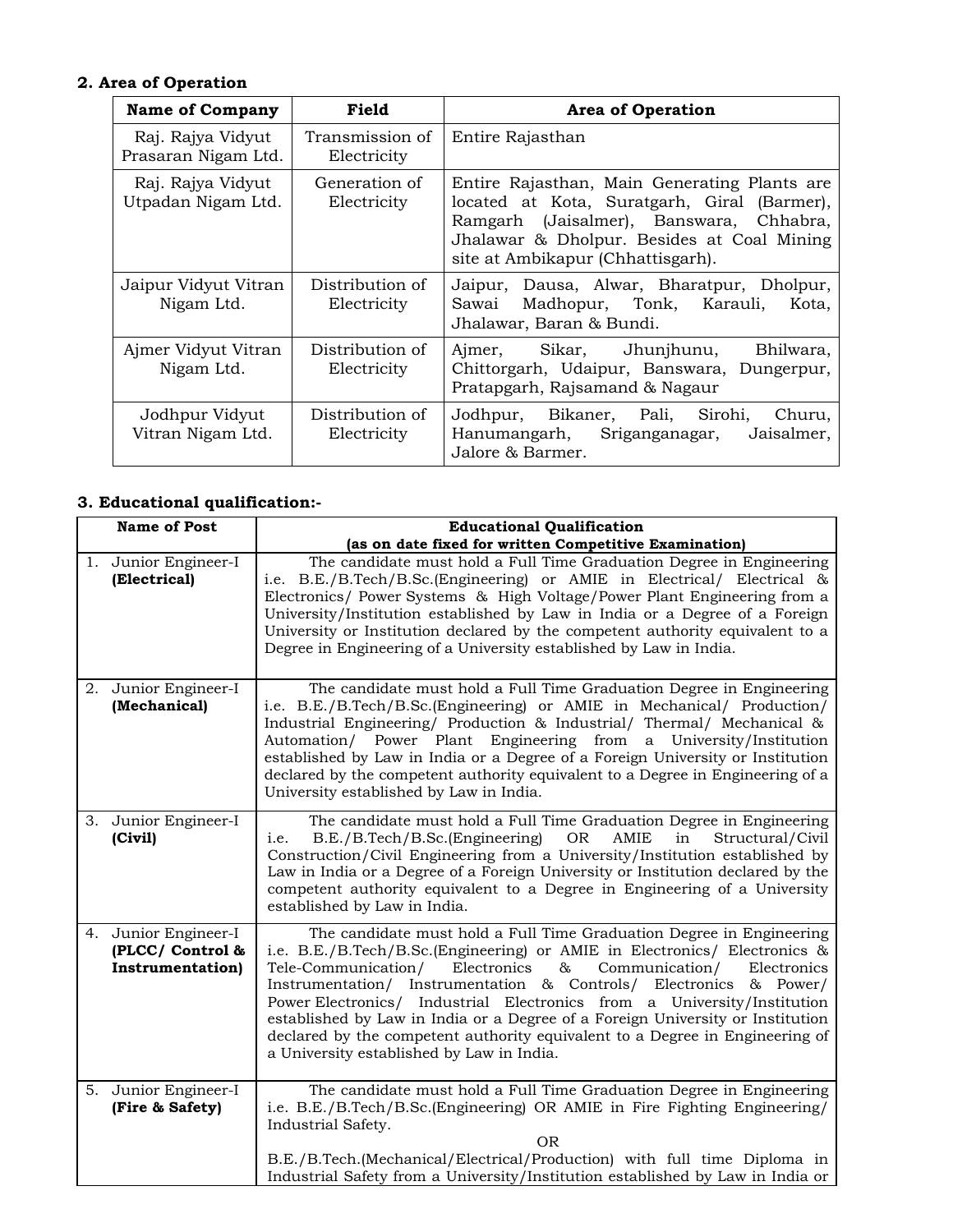# **2. Area of Operation**

| <b>Name of Company</b>                   | Field                          | <b>Area of Operation</b>                                                                                                                                                                                                   |
|------------------------------------------|--------------------------------|----------------------------------------------------------------------------------------------------------------------------------------------------------------------------------------------------------------------------|
| Raj. Rajya Vidyut<br>Prasaran Nigam Ltd. | Transmission of<br>Electricity | Entire Rajasthan                                                                                                                                                                                                           |
| Raj. Rajya Vidyut<br>Utpadan Nigam Ltd.  | Generation of<br>Electricity   | Entire Rajasthan, Main Generating Plants are.<br>located at Kota, Suratgarh, Giral (Barmer),<br>Ramgarh (Jaisalmer), Banswara, Chhabra,<br>Jhalawar & Dholpur. Besides at Coal Mining<br>site at Ambikapur (Chhattisgarh). |
| Jaipur Vidyut Vitran<br>Nigam Ltd.       | Distribution of<br>Electricity | Dausa, Alwar, Bharatpur, Dholpur,<br>Jaipur,<br>Madhopur, Tonk, Karauli,<br>Sawai<br>Kota,<br>Jhalawar, Baran & Bundi.                                                                                                     |
| Ajmer Vidyut Vitran<br>Nigam Ltd.        | Distribution of<br>Electricity | Bhilwara,<br>Sikar, Jhunjhunu,<br>Ajmer,<br>Chittorgarh, Udaipur, Banswara, Dungerpur,<br>Pratapgarh, Rajsamand & Nagaur                                                                                                   |
| Jodhpur Vidyut<br>Vitran Nigam Ltd.      | Distribution of<br>Electricity | Jodhpur, Bikaner, Pali,<br>Sirohi,<br>Churu,<br>Jaisalmer,<br>Hanumangarh,<br>Sriganganagar,<br>Jalore & Barmer.                                                                                                           |

# **3. Educational qualification:-**

|    | <b>Name of Post</b>                                               | <b>Educational Qualification</b>                                                                                                                                                                                                                                                                                                                                                                                                                                                                                                                                                                |
|----|-------------------------------------------------------------------|-------------------------------------------------------------------------------------------------------------------------------------------------------------------------------------------------------------------------------------------------------------------------------------------------------------------------------------------------------------------------------------------------------------------------------------------------------------------------------------------------------------------------------------------------------------------------------------------------|
|    |                                                                   | (as on date fixed for written Competitive Examination)                                                                                                                                                                                                                                                                                                                                                                                                                                                                                                                                          |
|    | 1. Junior Engineer-I<br>(Electrical)                              | The candidate must hold a Full Time Graduation Degree in Engineering<br>i.e. B.E./B.Tech/B.Sc.(Engineering) or AMIE in Electrical/ Electrical &<br>Electronics/ Power Systems & High Voltage/Power Plant Engineering from a<br>University/Institution established by Law in India or a Degree of a Foreign<br>University or Institution declared by the competent authority equivalent to a<br>Degree in Engineering of a University established by Law in India.                                                                                                                               |
|    | 2. Junior Engineer-I<br>(Mechanical)                              | The candidate must hold a Full Time Graduation Degree in Engineering<br>i.e. B.E./B.Tech/B.Sc.(Engineering) or AMIE in Mechanical/ Production/<br>Industrial Engineering/ Production & Industrial/ Thermal/ Mechanical &<br>Automation/ Power Plant Engineering from a University/Institution<br>established by Law in India or a Degree of a Foreign University or Institution<br>declared by the competent authority equivalent to a Degree in Engineering of a<br>University established by Law in India.                                                                                    |
|    | 3. Junior Engineer-I<br>(Civil)                                   | The candidate must hold a Full Time Graduation Degree in Engineering<br><b>OR</b><br>AMIE<br>B.E./B.Tech/B.Sc.(Engineering)<br>in<br>Structural/Civil<br>i.e.<br>Construction/Civil Engineering from a University/Institution established by<br>Law in India or a Degree of a Foreign University or Institution declared by the<br>competent authority equivalent to a Degree in Engineering of a University<br>established by Law in India.                                                                                                                                                    |
| 4. | Junior Engineer-I<br>(PLCC/ Control &<br><b>Instrumentation</b> ) | The candidate must hold a Full Time Graduation Degree in Engineering<br>i.e. B.E./B.Tech/B.Sc.(Engineering) or AMIE in Electronics/ Electronics &<br>Electronics<br>$\&$<br>Communication/<br>Tele-Communication/<br>Electronics<br>Instrumentation/ Instrumentation & Controls/ Electronics & Power/<br>Power Electronics/ Industrial Electronics from a University/Institution<br>established by Law in India or a Degree of a Foreign University or Institution<br>declared by the competent authority equivalent to a Degree in Engineering of<br>a University established by Law in India. |
|    | 5. Junior Engineer-I<br>(Fire & Safety)                           | The candidate must hold a Full Time Graduation Degree in Engineering<br>i.e. B.E./B.Tech/B.Sc.(Engineering) OR AMIE in Fire Fighting Engineering/<br>Industrial Safety.<br><b>OR</b><br>B.E./B.Tech.(Mechanical/Electrical/Production) with full time Diploma in<br>Industrial Safety from a University/Institution established by Law in India or                                                                                                                                                                                                                                              |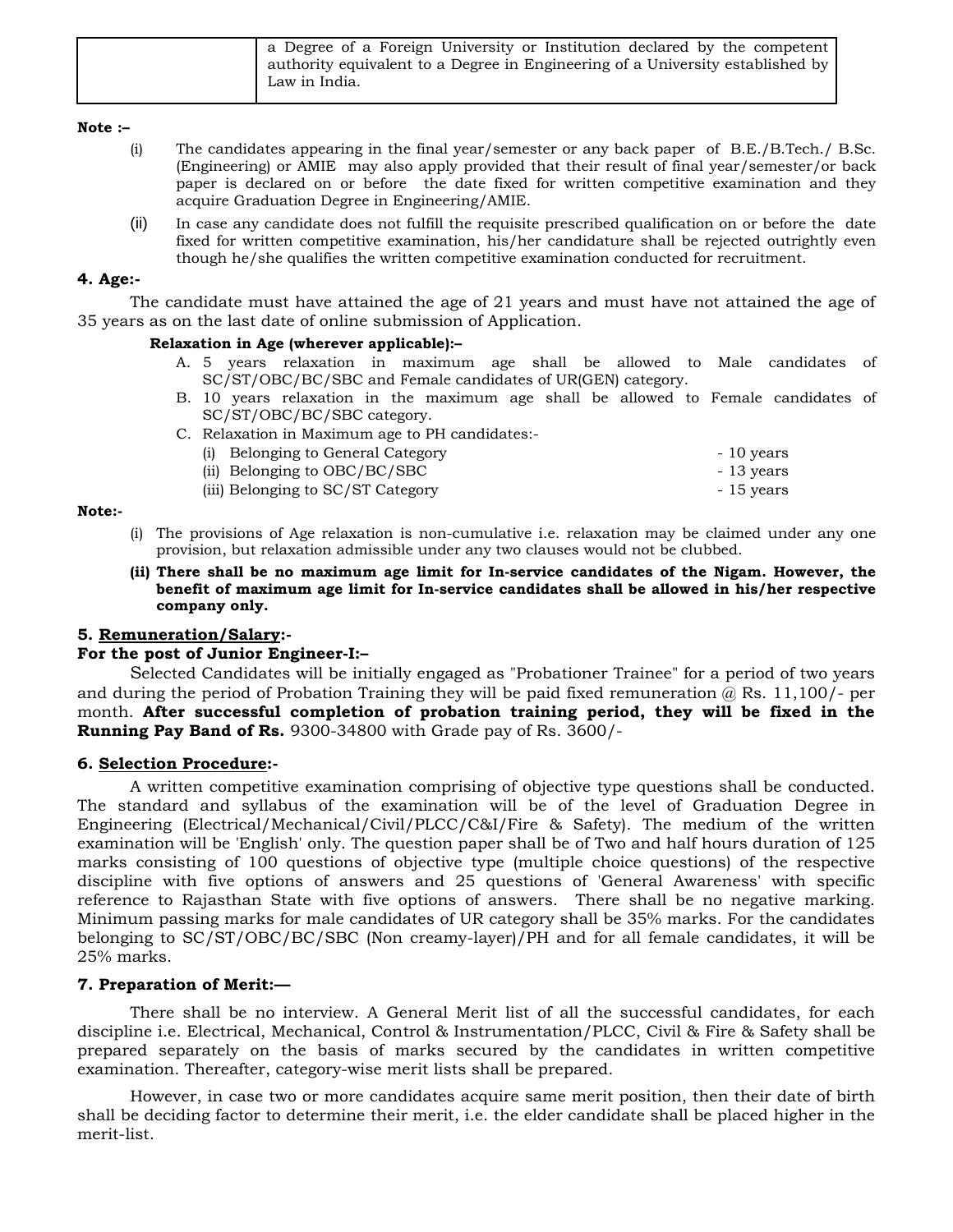| a Degree of a Foreign University or Institution declared by the competent      |
|--------------------------------------------------------------------------------|
| authority equivalent to a Degree in Engineering of a University established by |
| Law in India.                                                                  |

### **Note :–**

- (i) The candidates appearing in the final year/semester or any back paper of B.E./B.Tech./ B.Sc. (Engineering) or AMIE may also apply provided that their result of final year/semester/or back paper is declared on or before the date fixed for written competitive examination and they acquire Graduation Degree in Engineering/AMIE.
- (ii) In case any candidate does not fulfill the requisite prescribed qualification on or before the date fixed for written competitive examination, his/her candidature shall be rejected outrightly even though he/she qualifies the written competitive examination conducted for recruitment.

### **4. Age:-**

The candidate must have attained the age of 21 years and must have not attained the age of 35 years as on the last date of online submission of Application.

### **Relaxation in Age (wherever applicable):–**

- A. 5 years relaxation in maximum age shall be allowed to Male candidates of SC/ST/OBC/BC/SBC and Female candidates of UR(GEN) category.
- B. 10 years relaxation in the maximum age shall be allowed to Female candidates of SC/ST/OBC/BC/SBC category.
- C. Relaxation in Maximum age to PH candidates:-

| (i) Belonging to General Category | - 10 years |
|-----------------------------------|------------|
| (ii) Belonging to OBC/BC/SBC      | - 13 years |
| (iii) Belonging to SC/ST Category | - 15 years |

### **Note:-**

- (i) The provisions of Age relaxation is non-cumulative i.e. relaxation may be claimed under any one provision, but relaxation admissible under any two clauses would not be clubbed.
- **(ii) There shall be no maximum age limit for In-service candidates of the Nigam. However, the benefit of maximum age limit for In-service candidates shall be allowed in his/her respective company only.**

### **5. Remuneration/Salary:-**

### **For the post of Junior Engineer-I:–**

Selected Candidates will be initially engaged as "Probationer Trainee" for a period of two years and during the period of Probation Training they will be paid fixed remuneration  $@$  Rs. 11,100/- per month. **After successful completion of probation training period, they will be fixed in the Running Pay Band of Rs.** 9300-34800 with Grade pay of Rs. 3600/-

### **6. Selection Procedure:-**

 A written competitive examination comprising of objective type questions shall be conducted. The standard and syllabus of the examination will be of the level of Graduation Degree in Engineering (Electrical/Mechanical/Civil/PLCC/C&I/Fire & Safety). The medium of the written examination will be 'English' only. The question paper shall be of Two and half hours duration of 125 marks consisting of 100 questions of objective type (multiple choice questions) of the respective discipline with five options of answers and 25 questions of 'General Awareness' with specific reference to Rajasthan State with five options of answers. There shall be no negative marking. Minimum passing marks for male candidates of UR category shall be 35% marks. For the candidates belonging to SC/ST/OBC/BC/SBC (Non creamy-layer)/PH and for all female candidates, it will be 25% marks.

### **7. Preparation of Merit:—**

 There shall be no interview. A General Merit list of all the successful candidates, for each discipline i.e. Electrical, Mechanical, Control & Instrumentation/PLCC, Civil & Fire & Safety shall be prepared separately on the basis of marks secured by the candidates in written competitive examination. Thereafter, category-wise merit lists shall be prepared.

 However, in case two or more candidates acquire same merit position, then their date of birth shall be deciding factor to determine their merit, i.e. the elder candidate shall be placed higher in the merit-list.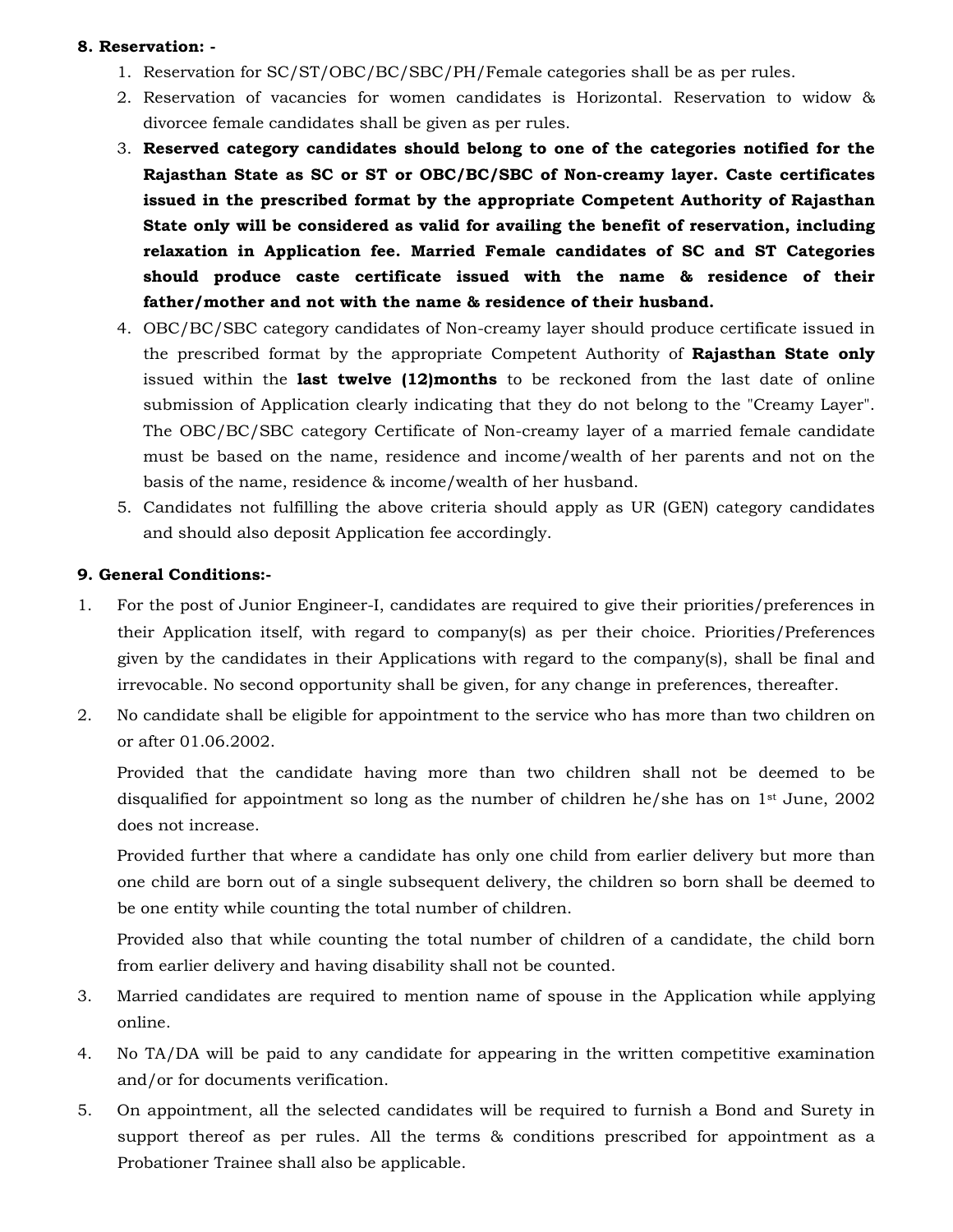### **8. Reservation: -**

- 1. Reservation for SC/ST/OBC/BC/SBC/PH/Female categories shall be as per rules.
- 2. Reservation of vacancies for women candidates is Horizontal. Reservation to widow & divorcee female candidates shall be given as per rules.
- 3. **Reserved category candidates should belong to one of the categories notified for the Rajasthan State as SC or ST or OBC/BC/SBC of Non-creamy layer. Caste certificates issued in the prescribed format by the appropriate Competent Authority of Rajasthan State only will be considered as valid for availing the benefit of reservation, including relaxation in Application fee. Married Female candidates of SC and ST Categories should produce caste certificate issued with the name & residence of their father/mother and not with the name & residence of their husband.**
- 4. OBC/BC/SBC category candidates of Non-creamy layer should produce certificate issued in the prescribed format by the appropriate Competent Authority of **Rajasthan State only**  issued within the **last twelve (12)months** to be reckoned from the last date of online submission of Application clearly indicating that they do not belong to the "Creamy Layer". The OBC/BC/SBC category Certificate of Non-creamy layer of a married female candidate must be based on the name, residence and income/wealth of her parents and not on the basis of the name, residence & income/wealth of her husband.
- 5. Candidates not fulfilling the above criteria should apply as UR (GEN) category candidates and should also deposit Application fee accordingly.

## **9. General Conditions:-**

- 1. For the post of Junior Engineer-I, candidates are required to give their priorities/preferences in their Application itself, with regard to company(s) as per their choice. Priorities/Preferences given by the candidates in their Applications with regard to the company(s), shall be final and irrevocable. No second opportunity shall be given, for any change in preferences, thereafter.
- 2. No candidate shall be eligible for appointment to the service who has more than two children on or after 01.06.2002.

 Provided that the candidate having more than two children shall not be deemed to be disqualified for appointment so long as the number of children he/she has on  $1<sup>st</sup>$  June, 2002 does not increase.

 Provided further that where a candidate has only one child from earlier delivery but more than one child are born out of a single subsequent delivery, the children so born shall be deemed to be one entity while counting the total number of children.

 Provided also that while counting the total number of children of a candidate, the child born from earlier delivery and having disability shall not be counted.

- 3. Married candidates are required to mention name of spouse in the Application while applying online.
- 4. No TA/DA will be paid to any candidate for appearing in the written competitive examination and/or for documents verification.
- 5. On appointment, all the selected candidates will be required to furnish a Bond and Surety in support thereof as per rules. All the terms & conditions prescribed for appointment as a Probationer Trainee shall also be applicable.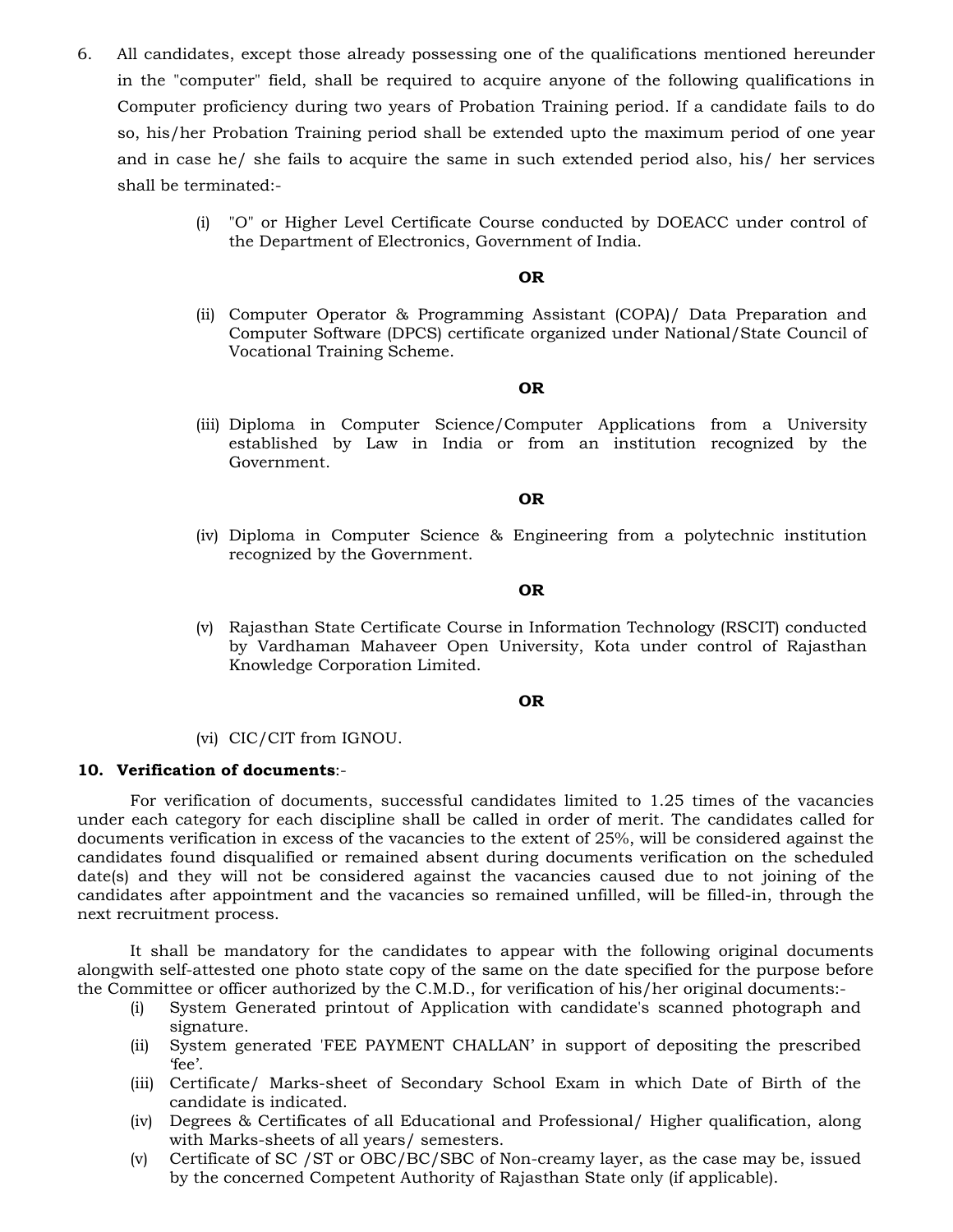- 6. All candidates, except those already possessing one of the qualifications mentioned hereunder in the "computer" field, shall be required to acquire anyone of the following qualifications in Computer proficiency during two years of Probation Training period. If a candidate fails to do so, his/her Probation Training period shall be extended upto the maximum period of one year and in case he/ she fails to acquire the same in such extended period also, his/ her services shall be terminated:-
	- (i) "O" or Higher Level Certificate Course conducted by DOEACC under control of the Department of Electronics, Government of India.

### **OR**

(ii) Computer Operator & Programming Assistant (COPA)/ Data Preparation and Computer Software (DPCS) certificate organized under National/State Council of Vocational Training Scheme.

#### **OR**

(iii) Diploma in Computer Science/Computer Applications from a University established by Law in India or from an institution recognized by the Government.

#### **OR**

(iv) Diploma in Computer Science & Engineering from a polytechnic institution recognized by the Government.

### **OR**

(v) Rajasthan State Certificate Course in Information Technology (RSCIT) conducted by Vardhaman Mahaveer Open University, Kota under control of Rajasthan Knowledge Corporation Limited.

#### **OR**

(vi) CIC/CIT from IGNOU.

### **10. Verification of documents**:-

 For verification of documents, successful candidates limited to 1.25 times of the vacancies under each category for each discipline shall be called in order of merit. The candidates called for documents verification in excess of the vacancies to the extent of 25%, will be considered against the candidates found disqualified or remained absent during documents verification on the scheduled date(s) and they will not be considered against the vacancies caused due to not joining of the candidates after appointment and the vacancies so remained unfilled, will be filled-in, through the next recruitment process.

 It shall be mandatory for the candidates to appear with the following original documents alongwith self-attested one photo state copy of the same on the date specified for the purpose before the Committee or officer authorized by the C.M.D., for verification of his/her original documents:-

- (i) System Generated printout of Application with candidate's scanned photograph and signature.
- (ii) System generated 'FEE PAYMENT CHALLAN' in support of depositing the prescribed 'fee'.
- (iii) Certificate/ Marks-sheet of Secondary School Exam in which Date of Birth of the candidate is indicated.
- (iv) Degrees & Certificates of all Educational and Professional/ Higher qualification, along with Marks-sheets of all years/ semesters.
- (v) Certificate of SC /ST or OBC/BC/SBC of Non-creamy layer, as the case may be, issued by the concerned Competent Authority of Rajasthan State only (if applicable).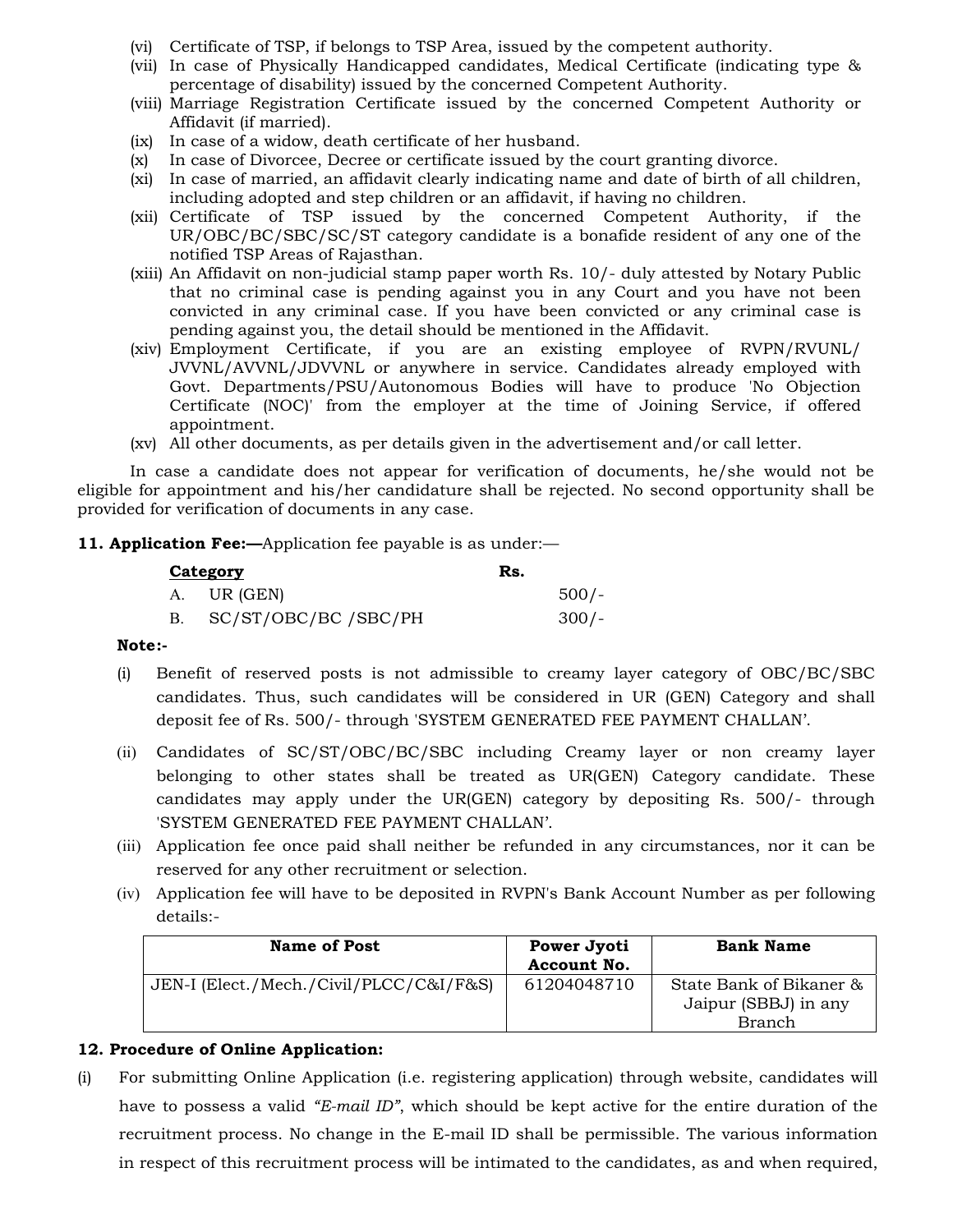- (vi) Certificate of TSP, if belongs to TSP Area, issued by the competent authority.
- (vii) In case of Physically Handicapped candidates, Medical Certificate (indicating type & percentage of disability) issued by the concerned Competent Authority.
- (viii) Marriage Registration Certificate issued by the concerned Competent Authority or Affidavit (if married).
- (ix) In case of a widow, death certificate of her husband.
- (x) In case of Divorcee, Decree or certificate issued by the court granting divorce.
- (xi) In case of married, an affidavit clearly indicating name and date of birth of all children, including adopted and step children or an affidavit, if having no children.
- (xii) Certificate of TSP issued by the concerned Competent Authority, if the UR/OBC/BC/SBC/SC/ST category candidate is a bonafide resident of any one of the notified TSP Areas of Rajasthan.
- (xiii) An Affidavit on non-judicial stamp paper worth Rs. 10/- duly attested by Notary Public that no criminal case is pending against you in any Court and you have not been convicted in any criminal case. If you have been convicted or any criminal case is pending against you, the detail should be mentioned in the Affidavit.
- (xiv) Employment Certificate, if you are an existing employee of RVPN/RVUNL/ JVVNL/AVVNL/JDVVNL or anywhere in service. Candidates already employed with Govt. Departments/PSU/Autonomous Bodies will have to produce 'No Objection Certificate (NOC)' from the employer at the time of Joining Service, if offered appointment.
- (xv) All other documents, as per details given in the advertisement and/or call letter.

 In case a candidate does not appear for verification of documents, he/she would not be eligible for appointment and his/her candidature shall be rejected. No second opportunity shall be provided for verification of documents in any case.

### **11. Application Fee:**—Application fee payable is as under:—

| Category             | Rs. |         |
|----------------------|-----|---------|
| A. UR (GEN)          |     | $500/-$ |
| SC/ST/OBC/BC /SBC/PH |     | 300/-   |

### **Note :-**

- (i) Benefit of reserved posts is not admissible to creamy layer category of OBC/BC/SBC candidates. Thus, such candidates will be considered in UR (GEN) Category and shall deposit fee of Rs. 500/- through 'SYSTEM GENERATED FEE PAYMENT CHALLAN'.
- (ii) Candidates of SC/ST/OBC/BC/SBC including Creamy layer or non creamy layer belonging to other states shall be treated as UR(GEN) Category candidate. These candidates may apply under the UR(GEN) category by depositing Rs. 500/- through 'SYSTEM GENERATED FEE PAYMENT CHALLAN'.
- (iii) Application fee once paid shall neither be refunded in any circumstances, nor it can be reserved for any other recruitment or selection.
- (iv) Application fee will have to be deposited in RVPN's Bank Account Number as per following details:-

| <b>Name of Post</b>                     | Power Jyoti<br>Account No. | <b>Bank Name</b>                                |
|-----------------------------------------|----------------------------|-------------------------------------------------|
| JEN-I (Elect./Mech./Civil/PLCC/C&I/F&S) | 61204048710                | State Bank of Bikaner &<br>Jaipur (SBBJ) in any |
|                                         |                            | <b>Branch</b>                                   |

## **12. Procedure of Online Application:**

(i) For submitting Online Application (i.e. registering application) through website, candidates will have to possess a valid *"E-mail ID"*, which should be kept active for the entire duration of the recruitment process. No change in the E-mail ID shall be permissible. The various information in respect of this recruitment process will be intimated to the candidates, as and when required,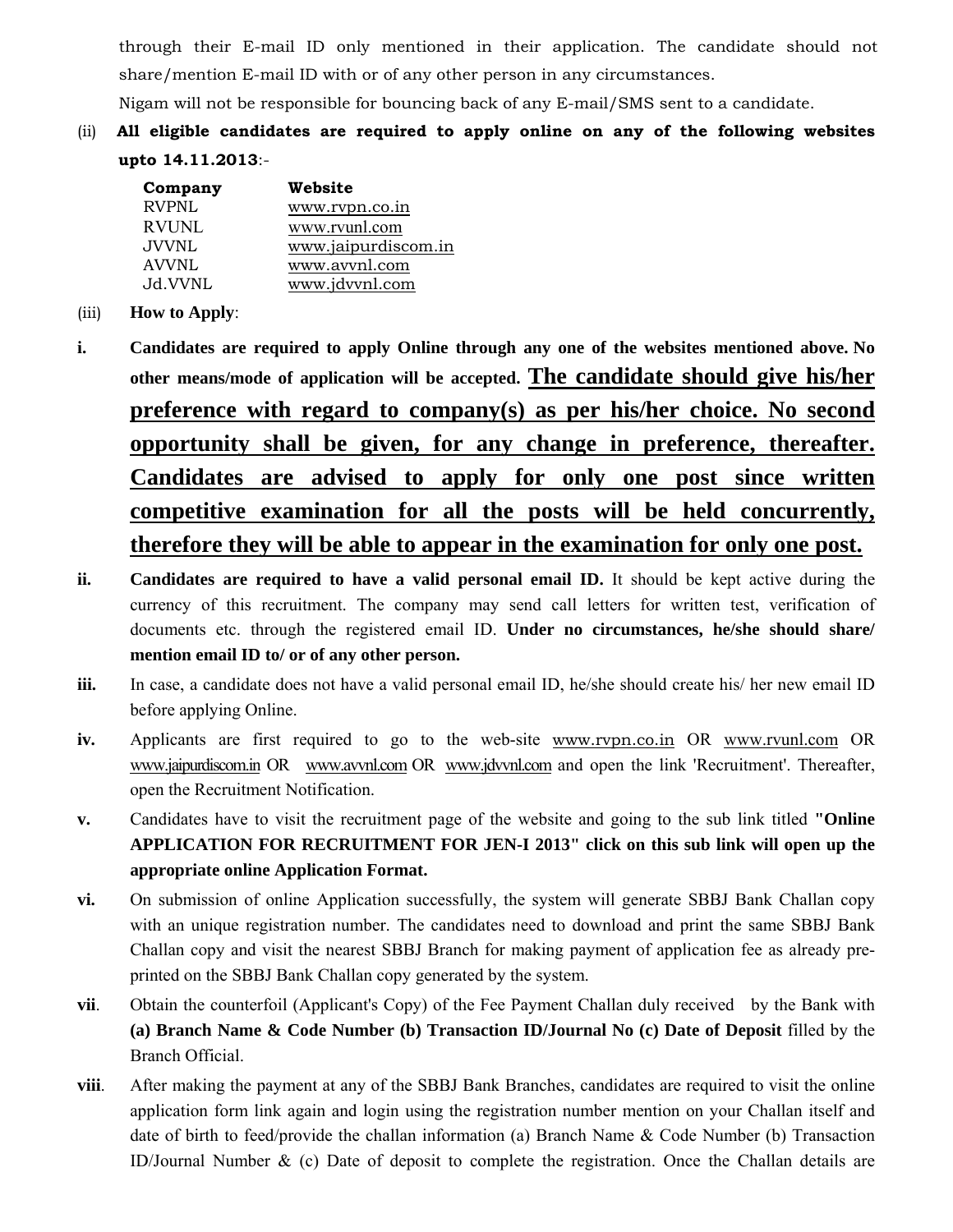through their E-mail ID only mentioned in their application. The candidate should not share/mention E-mail ID with or of any other person in any circumstances.

Nigam will not be responsible for bouncing back of any E-mail/SMS sent to a candidate.

(ii) **All eligible candidates are required to apply online on any of the following websites upto 14.11.2013**:-

| Company      | Website             |
|--------------|---------------------|
| RVPNL        | www.rvpn.co.in      |
| <b>RVUNL</b> | www.rvunl.com       |
| <b>JVVNL</b> | www.jaipurdiscom.in |
| AVVNL        | www.avvnl.com       |
| Jd.VVNL      | www.jdvvnl.com      |

- (iii) **How to Apply**:
- **i. Candidates are required to apply Online through any one of the websites mentioned above. No other means/mode of application will be accepted. The candidate should give his/her preference with regard to company(s) as per his/her choice. No second opportunity shall be given, for any change in preference, thereafter. Candidates are advised to apply for only one post since written competitive examination for all the posts will be held concurrently, therefore they will be able to appear in the examination for only one post.**
- **ii. Candidates are required to have a valid personal email ID.** It should be kept active during the currency of this recruitment. The company may send call letters for written test, verification of documents etc. through the registered email ID. **Under no circumstances, he/she should share/ mention email ID to/ or of any other person.**
- **iii.** In case, a candidate does not have a valid personal email ID, he/she should create his/ her new email ID before applying Online.
- **iv.** Applicants are first required to go to the web-site www.rvpn.co.in OR www.rvunl.com OR www.jaipurdiscom.in OR www.avvnl.com OR www.jdvvnl.com and open the link 'Recruitment'. Thereafter, open the Recruitment Notification.
- **v.** Candidates have to visit the recruitment page of the website and going to the sub link titled **"Online APPLICATION FOR RECRUITMENT FOR JEN-I 2013" click on this sub link will open up the appropriate online Application Format.**
- **vi.** On submission of online Application successfully, the system will generate SBBJ Bank Challan copy with an unique registration number. The candidates need to download and print the same SBBJ Bank Challan copy and visit the nearest SBBJ Branch for making payment of application fee as already preprinted on the SBBJ Bank Challan copy generated by the system.
- **vii.** Obtain the counterfoil (Applicant's Copy) of the Fee Payment Challan duly received by the Bank with **(a) Branch Name & Code Number (b) Transaction ID/Journal No (c) Date of Deposit** filled by the Branch Official.
- **viii.** After making the payment at any of the SBBJ Bank Branches, candidates are required to visit the online application form link again and login using the registration number mention on your Challan itself and date of birth to feed/provide the challan information (a) Branch Name & Code Number (b) Transaction ID/Journal Number & (c) Date of deposit to complete the registration. Once the Challan details are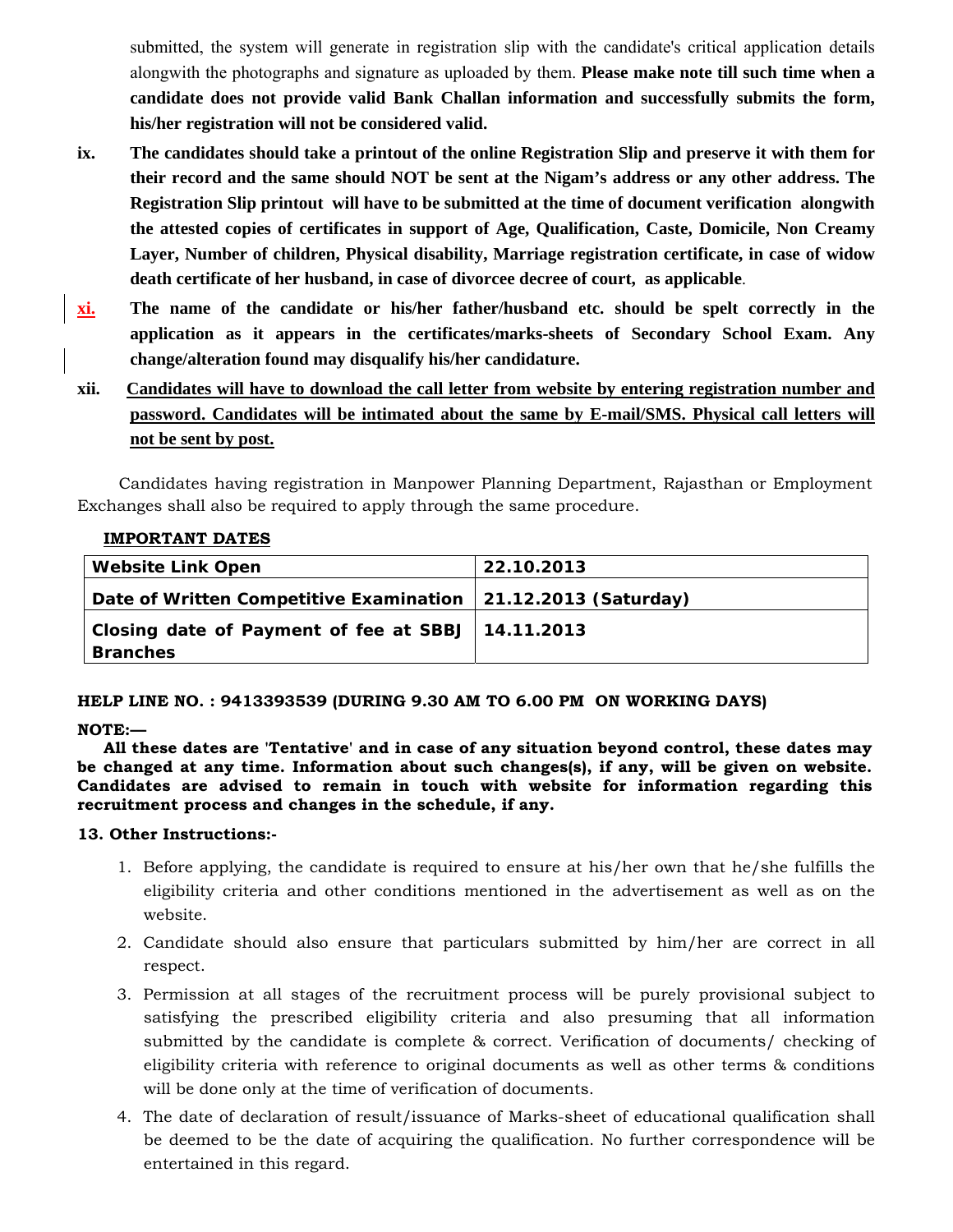submitted, the system will generate in registration slip with the candidate's critical application details alongwith the photographs and signature as uploaded by them. **Please make note till such time when a candidate does not provide valid Bank Challan information and successfully submits the form, his/her registration will not be considered valid.** 

- **ix. The candidates should take a printout of the online Registration Slip and preserve it with them for their record and the same should NOT be sent at the Nigam's address or any other address. The Registration Slip printout will have to be submitted at the time of document verification alongwith the attested copies of certificates in support of Age, Qualification, Caste, Domicile, Non Creamy Layer, Number of children, Physical disability, Marriage registration certificate, in case of widow death certificate of her husband, in case of divorcee decree of court, as applicable**.
- **xi. The name of the candidate or his/her father/husband etc. should be spelt correctly in the application as it appears in the certificates/marks-sheets of Secondary School Exam. Any change/alteration found may disqualify his/her candidature.**
- **xii. Candidates will have to download the call letter from website by entering registration number and password. Candidates will be intimated about the same by E-mail/SMS. Physical call letters will not be sent by post.**

 Candidates having registration in Manpower Planning Department, Rajasthan or Employment Exchanges shall also be required to apply through the same procedure.

### **IMPORTANT DATES**

| <b>Website Link Open</b>                                        | 22.10.2013 |
|-----------------------------------------------------------------|------------|
| Date of Written Competitive Examination   21.12.2013 (Saturday) |            |
| Closing date of Payment of fee at SBBJ   14.11.2013             |            |
| <b>Branches</b>                                                 |            |

### **HELP LINE NO. : 9413393539 (DURING 9.30 AM TO 6.00 PM ON WORKING DAYS)**

### **NOTE:—**

**All these dates are 'Tentative' and in case of any situation beyond control, these dates may be changed at any time. Information about such changes(s), if any, will be given on website. Candidates are advised to remain in touch with website for information regarding this recruitment process and changes in the schedule, if any.**

### **13. Other Instructions:-**

- 1. Before applying, the candidate is required to ensure at his/her own that he/she fulfills the eligibility criteria and other conditions mentioned in the advertisement as well as on the website.
- 2. Candidate should also ensure that particulars submitted by him/her are correct in all respect.
- 3. Permission at all stages of the recruitment process will be purely provisional subject to satisfying the prescribed eligibility criteria and also presuming that all information submitted by the candidate is complete & correct. Verification of documents/ checking of eligibility criteria with reference to original documents as well as other terms & conditions will be done only at the time of verification of documents.
- 4. The date of declaration of result/issuance of Marks-sheet of educational qualification shall be deemed to be the date of acquiring the qualification. No further correspondence will be entertained in this regard.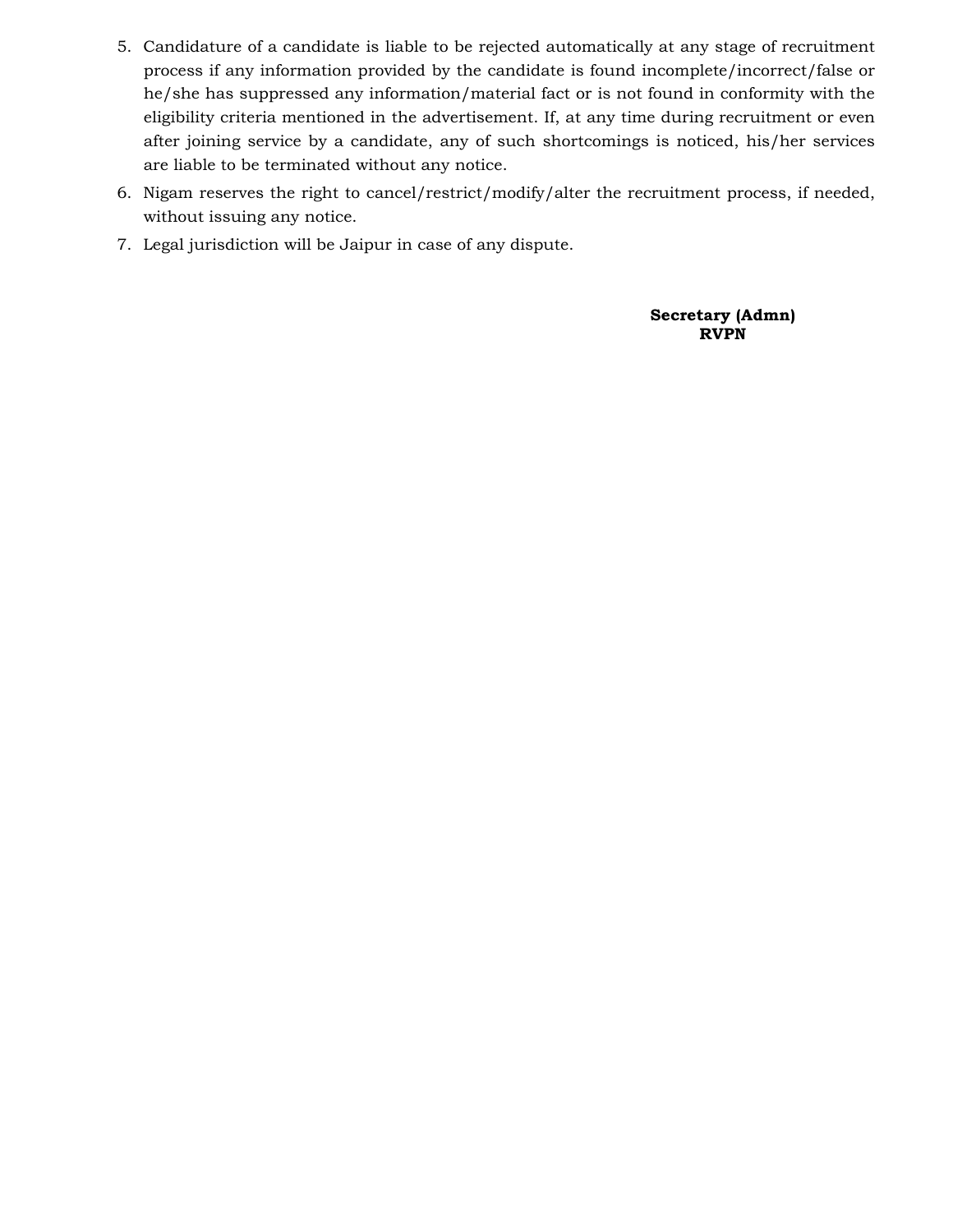- 5. Candidature of a candidate is liable to be rejected automatically at any stage of recruitment process if any information provided by the candidate is found incomplete/incorrect/false or he/she has suppressed any information/material fact or is not found in conformity with the eligibility criteria mentioned in the advertisement. If, at any time during recruitment or even after joining service by a candidate, any of such shortcomings is noticed, his/her services are liable to be terminated without any notice.
- 6. Nigam reserves the right to cancel/restrict/modify/alter the recruitment process, if needed, without issuing any notice.
- 7. Legal jurisdiction will be Jaipur in case of any dispute.

**Secretary (Admn) RVPN**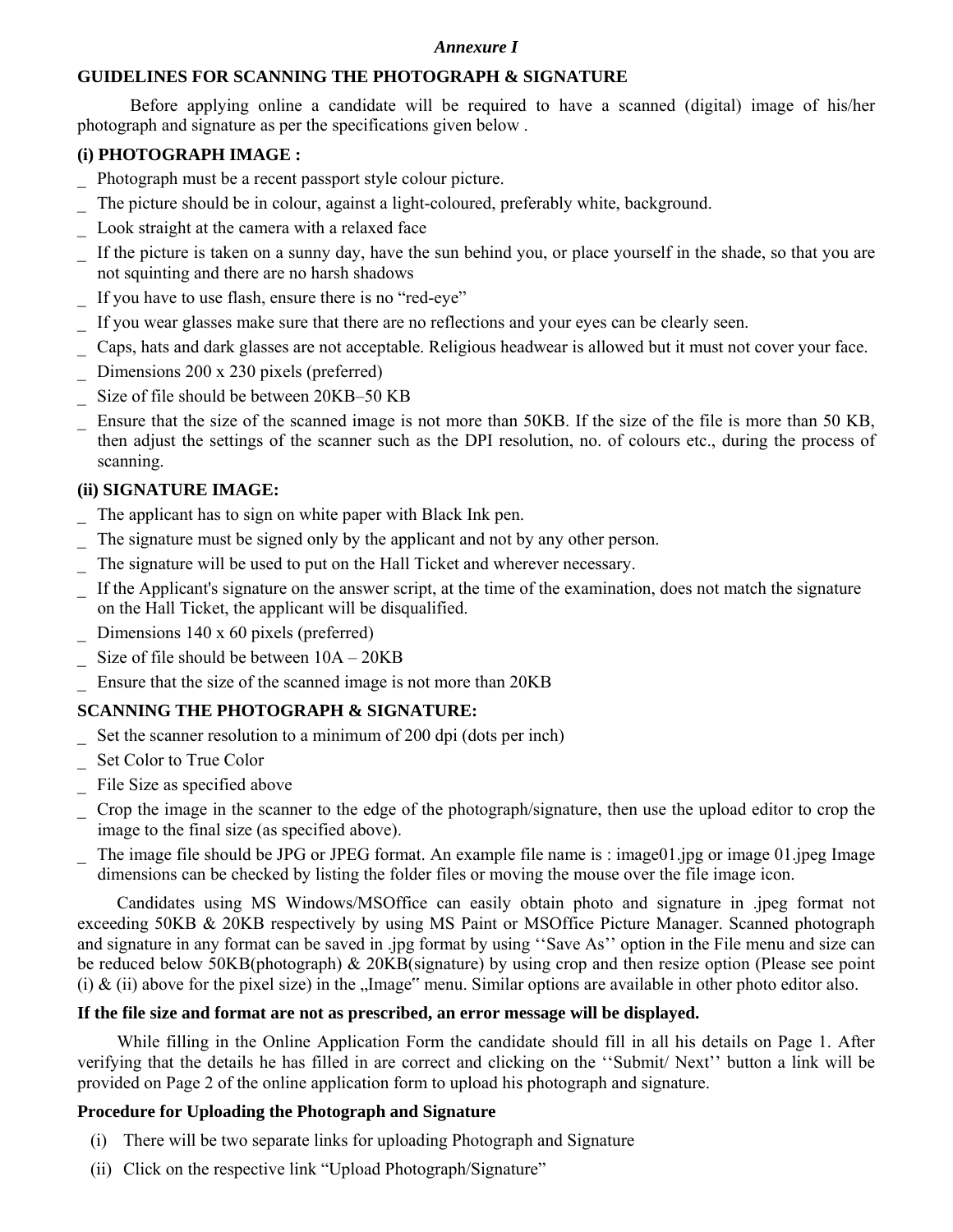### *Annexure I*

# **GUIDELINES FOR SCANNING THE PHOTOGRAPH & SIGNATURE**

Before applying online a candidate will be required to have a scanned (digital) image of his/her photograph and signature as per the specifications given below .

# **(i) PHOTOGRAPH IMAGE :**

- \_ Photograph must be a recent passport style colour picture.
- The picture should be in colour, against a light-coloured, preferably white, background.
- Look straight at the camera with a relaxed face
- If the picture is taken on a sunny day, have the sun behind you, or place yourself in the shade, so that you are not squinting and there are no harsh shadows
- If you have to use flash, ensure there is no "red-eye"
- If you wear glasses make sure that there are no reflections and your eyes can be clearly seen.
- \_ Caps, hats and dark glasses are not acceptable. Religious headwear is allowed but it must not cover your face.
- Dimensions 200 x 230 pixels (preferred)
- Size of file should be between 20KB–50 KB
- Ensure that the size of the scanned image is not more than 50KB. If the size of the file is more than 50 KB, then adjust the settings of the scanner such as the DPI resolution, no. of colours etc., during the process of scanning.

# **(ii) SIGNATURE IMAGE:**

- The applicant has to sign on white paper with Black Ink pen.
- The signature must be signed only by the applicant and not by any other person.
- The signature will be used to put on the Hall Ticket and wherever necessary.
- \_ If the Applicant's signature on the answer script, at the time of the examination, does not match the signature on the Hall Ticket, the applicant will be disqualified.
	- Dimensions 140 x 60 pixels (preferred)
- Size of file should be between  $10A 20KB$
- Ensure that the size of the scanned image is not more than 20KB

# **SCANNING THE PHOTOGRAPH & SIGNATURE:**

- Set the scanner resolution to a minimum of 200 dpi (dots per inch)
- Set Color to True Color
- File Size as specified above
- \_ Crop the image in the scanner to the edge of the photograph/signature, then use the upload editor to crop the image to the final size (as specified above).
- The image file should be JPG or JPEG format. An example file name is : image01.jpg or image 01.jpeg Image dimensions can be checked by listing the folder files or moving the mouse over the file image icon.

 Candidates using MS Windows/MSOffice can easily obtain photo and signature in .jpeg format not exceeding 50KB & 20KB respectively by using MS Paint or MSOffice Picture Manager. Scanned photograph and signature in any format can be saved in .jpg format by using ''Save As'' option in the File menu and size can be reduced below 50KB(photograph) & 20KB(signature) by using crop and then resize option (Please see point (i)  $\&$  (ii) above for the pixel size) in the "Image" menu. Similar options are available in other photo editor also.

# **If the file size and format are not as prescribed, an error message will be displayed.**

 While filling in the Online Application Form the candidate should fill in all his details on Page 1. After verifying that the details he has filled in are correct and clicking on the ''Submit/ Next'' button a link will be provided on Page 2 of the online application form to upload his photograph and signature.

## **Procedure for Uploading the Photograph and Signature**

- (i) There will be two separate links for uploading Photograph and Signature
- (ii) Click on the respective link "Upload Photograph/Signature"